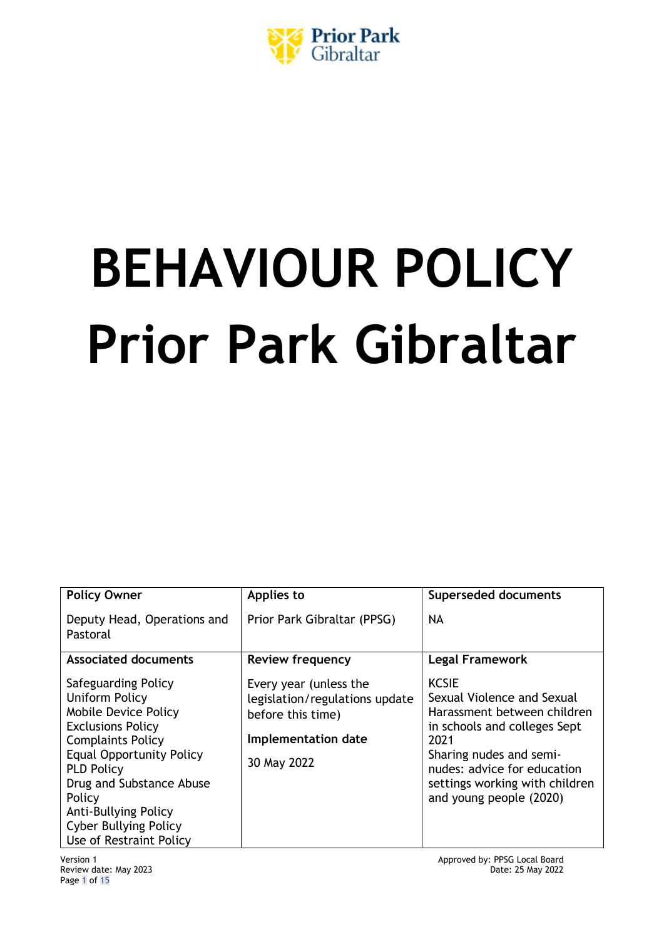

# **BEHAVIOUR POLICY Prior Park Gibraltar**

| <b>Policy Owner</b>                                                                                                                                                                                                                                                                                           | Applies to                                                                                                          | <b>Superseded documents</b>                                                                                                                                                                                                              |
|---------------------------------------------------------------------------------------------------------------------------------------------------------------------------------------------------------------------------------------------------------------------------------------------------------------|---------------------------------------------------------------------------------------------------------------------|------------------------------------------------------------------------------------------------------------------------------------------------------------------------------------------------------------------------------------------|
| Deputy Head, Operations and<br>Pastoral                                                                                                                                                                                                                                                                       | Prior Park Gibraltar (PPSG)                                                                                         | NA                                                                                                                                                                                                                                       |
| <b>Associated documents</b>                                                                                                                                                                                                                                                                                   | <b>Review frequency</b>                                                                                             | <b>Legal Framework</b>                                                                                                                                                                                                                   |
| Safeguarding Policy<br>Uniform Policy<br><b>Mobile Device Policy</b><br><b>Exclusions Policy</b><br><b>Complaints Policy</b><br><b>Equal Opportunity Policy</b><br><b>PLD Policy</b><br>Drug and Substance Abuse<br>Policy<br>Anti-Bullying Policy<br><b>Cyber Bullying Policy</b><br>Use of Restraint Policy | Every year (unless the<br>legislation/regulations update<br>before this time)<br>Implementation date<br>30 May 2022 | <b>KCSIE</b><br>Sexual Violence and Sexual<br>Harassment between children<br>in schools and colleges Sept<br>2021<br>Sharing nudes and semi-<br>nudes: advice for education<br>settings working with children<br>and young people (2020) |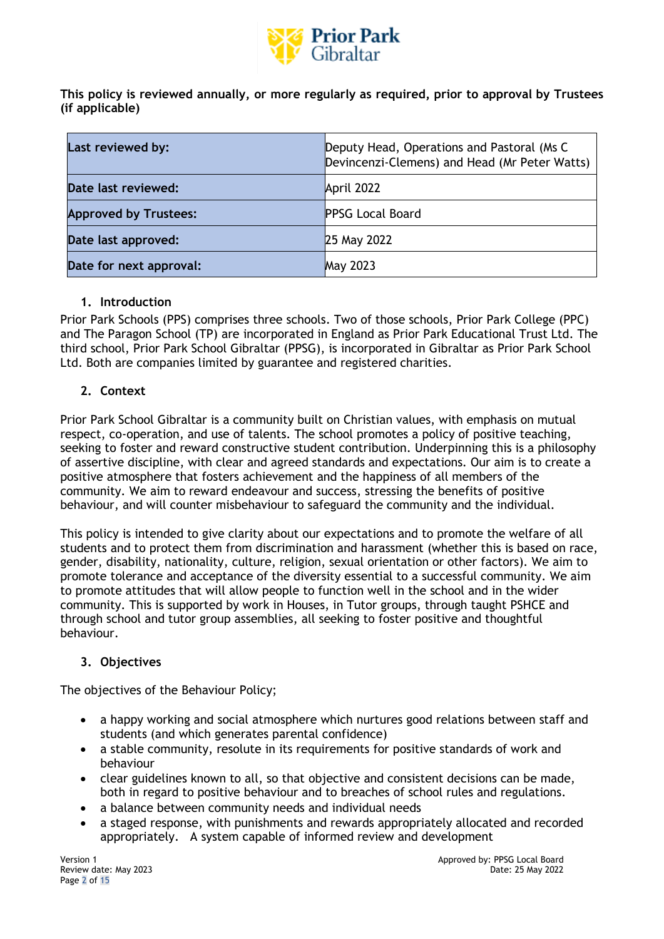

**This policy is reviewed annually, or more regularly as required, prior to approval by Trustees (if applicable)**

| Last reviewed by:            | Deputy Head, Operations and Pastoral (Ms C)<br>Devincenzi-Clemens) and Head (Mr Peter Watts) |
|------------------------------|----------------------------------------------------------------------------------------------|
| Date last reviewed:          | April 2022                                                                                   |
| <b>Approved by Trustees:</b> | <b>PPSG Local Board</b>                                                                      |
| Date last approved:          | 25 May 2022                                                                                  |
| Date for next approval:      | <b>May 2023</b>                                                                              |

# **1. Introduction**

Prior Park Schools (PPS) comprises three schools. Two of those schools, Prior Park College (PPC) and The Paragon School (TP) are incorporated in England as Prior Park Educational Trust Ltd. The third school, Prior Park School Gibraltar (PPSG), is incorporated in Gibraltar as Prior Park School Ltd. Both are companies limited by guarantee and registered charities.

# **2. Context**

Prior Park School Gibraltar is a community built on Christian values, with emphasis on mutual respect, co-operation, and use of talents. The school promotes a policy of positive teaching, seeking to foster and reward constructive student contribution. Underpinning this is a philosophy of assertive discipline, with clear and agreed standards and expectations. Our aim is to create a positive atmosphere that fosters achievement and the happiness of all members of the community. We aim to reward endeavour and success, stressing the benefits of positive behaviour, and will counter misbehaviour to safeguard the community and the individual.

This policy is intended to give clarity about our expectations and to promote the welfare of all students and to protect them from discrimination and harassment (whether this is based on race, gender, disability, nationality, culture, religion, sexual orientation or other factors). We aim to promote tolerance and acceptance of the diversity essential to a successful community. We aim to promote attitudes that will allow people to function well in the school and in the wider community. This is supported by work in Houses, in Tutor groups, through taught PSHCE and through school and tutor group assemblies, all seeking to foster positive and thoughtful behaviour.

# **3. Objectives**

The objectives of the Behaviour Policy;

- a happy working and social atmosphere which nurtures good relations between staff and students (and which generates parental confidence)
- a stable community, resolute in its requirements for positive standards of work and behaviour
- clear guidelines known to all, so that objective and consistent decisions can be made, both in regard to positive behaviour and to breaches of school rules and regulations.
- a balance between community needs and individual needs
- a staged response, with punishments and rewards appropriately allocated and recorded appropriately. A system capable of informed review and development

Page 2 of 15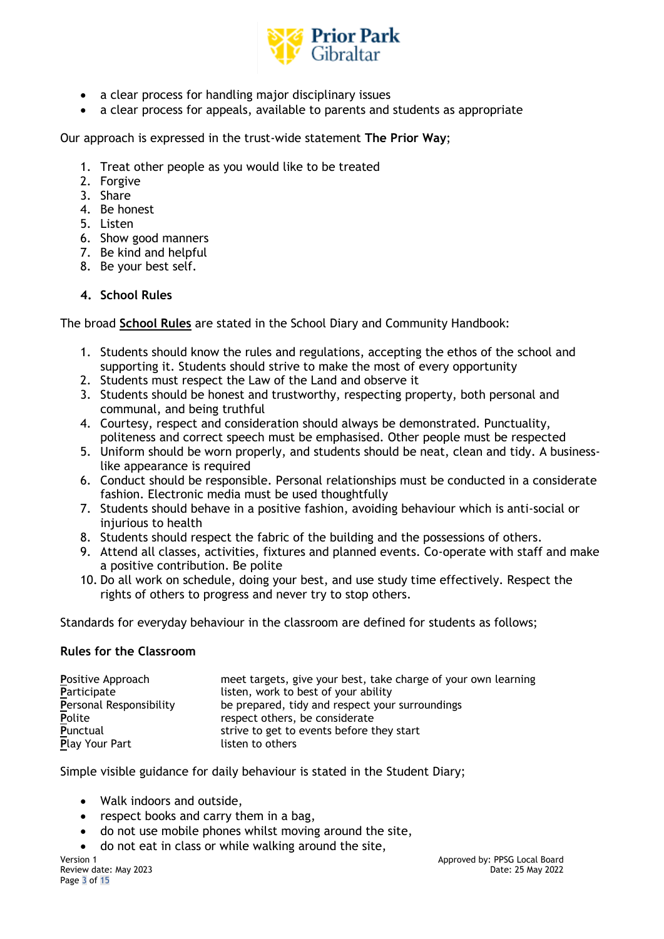

- a clear process for handling major disciplinary issues
- a clear process for appeals, available to parents and students as appropriate

Our approach is expressed in the trust-wide statement **The Prior Way**;

- 1. Treat other people as you would like to be treated
- 2. Forgive
- 3. Share
- 4. Be honest
- 5. Listen
- 6. Show good manners
- 7. Be kind and helpful
- 8. Be your best self.

## **4. School Rules**

The broad **School Rules** are stated in the School Diary and Community Handbook:

- 1. Students should know the rules and regulations, accepting the ethos of the school and supporting it. Students should strive to make the most of every opportunity
- 2. Students must respect the Law of the Land and observe it
- 3. Students should be honest and trustworthy, respecting property, both personal and communal, and being truthful
- 4. Courtesy, respect and consideration should always be demonstrated. Punctuality, politeness and correct speech must be emphasised. Other people must be respected
- 5. Uniform should be worn properly, and students should be neat, clean and tidy. A businesslike appearance is required
- 6. Conduct should be responsible. Personal relationships must be conducted in a considerate fashion. Electronic media must be used thoughtfully
- 7. Students should behave in a positive fashion, avoiding behaviour which is anti-social or injurious to health
- 8. Students should respect the fabric of the building and the possessions of others.
- 9. Attend all classes, activities, fixtures and planned events. Co-operate with staff and make a positive contribution. Be polite
- 10. Do all work on schedule, doing your best, and use study time effectively. Respect the rights of others to progress and never try to stop others.

Standards for everyday behaviour in the classroom are defined for students as follows;

#### **Rules for the Classroom**

| Positive Approach       | meet targets, give your best, take charge of your own learning |  |
|-------------------------|----------------------------------------------------------------|--|
| Participate             | listen, work to best of your ability                           |  |
| Personal Responsibility | be prepared, tidy and respect your surroundings                |  |
| Polite                  | respect others, be considerate                                 |  |
| Punctual                | strive to get to events before they start                      |  |
| Play Your Part          | listen to others                                               |  |

Simple visible guidance for daily behaviour is stated in the Student Diary;

- Walk indoors and outside,
- respect books and carry them in a bag,
- do not use mobile phones whilst moving around the site,
- do not eat in class or while walking around the site,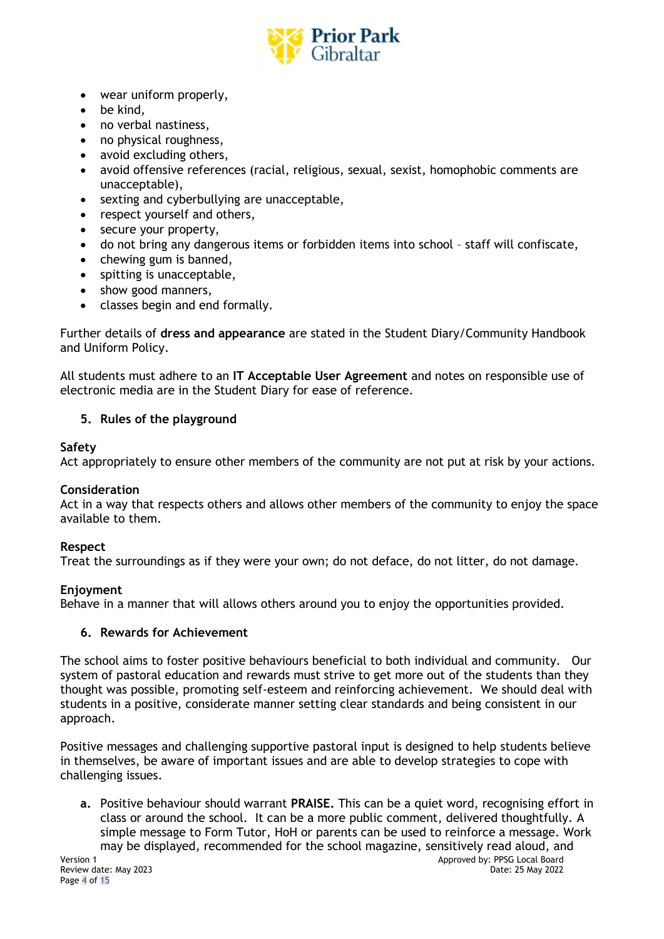

- wear uniform properly,
- be kind,
- no verbal nastiness,
- no physical roughness,
- avoid excluding others,
- avoid offensive references (racial, religious, sexual, sexist, homophobic comments are unacceptable),
- sexting and cyberbullying are unacceptable,
- respect yourself and others,
- secure your property,
- do not bring any dangerous items or forbidden items into school staff will confiscate,
- chewing gum is banned,
- spitting is unacceptable,
- show good manners,
- classes begin and end formally.

Further details of **dress and appearance** are stated in the Student Diary/Community Handbook and Uniform Policy.

All students must adhere to an **IT Acceptable User Agreement** and notes on responsible use of electronic media are in the Student Diary for ease of reference.

# **5. Rules of the playground**

## **Safety**

Act appropriately to ensure other members of the community are not put at risk by your actions.

# **Consideration**

Act in a way that respects others and allows other members of the community to enjoy the space available to them.

# **Respect**

Treat the surroundings as if they were your own; do not deface, do not litter, do not damage.

# **Enjoyment**

Behave in a manner that will allows others around you to enjoy the opportunities provided.

# **6. Rewards for Achievement**

The school aims to foster positive behaviours beneficial to both individual and community. Our system of pastoral education and rewards must strive to get more out of the students than they thought was possible, promoting self-esteem and reinforcing achievement. We should deal with students in a positive, considerate manner setting clear standards and being consistent in our approach.

Positive messages and challenging supportive pastoral input is designed to help students believe in themselves, be aware of important issues and are able to develop strategies to cope with challenging issues.

**a.** Positive behaviour should warrant **PRAISE.** This can be a quiet word, recognising effort in class or around the school. It can be a more public comment, delivered thoughtfully. A simple message to Form Tutor, HoH or parents can be used to reinforce a message. Work may be displayed, recommended for the school magazine, sensitively read aloud, and

Page 4 of 15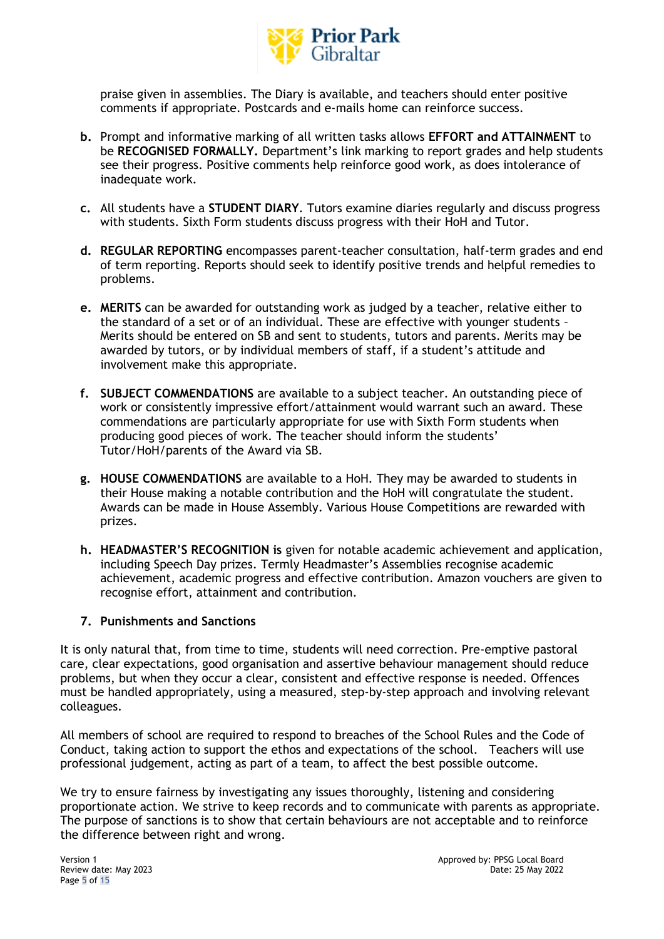

praise given in assemblies. The Diary is available, and teachers should enter positive comments if appropriate. Postcards and e-mails home can reinforce success.

- **b.** Prompt and informative marking of all written tasks allows **EFFORT and ATTAINMENT** to be **RECOGNISED FORMALLY.** Department's link marking to report grades and help students see their progress. Positive comments help reinforce good work, as does intolerance of inadequate work.
- **c.** All students have a **STUDENT DIARY**. Tutors examine diaries regularly and discuss progress with students. Sixth Form students discuss progress with their HoH and Tutor.
- **d. REGULAR REPORTING** encompasses parent-teacher consultation, half-term grades and end of term reporting. Reports should seek to identify positive trends and helpful remedies to problems.
- **e. MERITS** can be awarded for outstanding work as judged by a teacher, relative either to the standard of a set or of an individual. These are effective with younger students – Merits should be entered on SB and sent to students, tutors and parents. Merits may be awarded by tutors, or by individual members of staff, if a student's attitude and involvement make this appropriate.
- **f. SUBJECT COMMENDATIONS** are available to a subject teacher. An outstanding piece of work or consistently impressive effort/attainment would warrant such an award. These commendations are particularly appropriate for use with Sixth Form students when producing good pieces of work. The teacher should inform the students' Tutor/HoH/parents of the Award via SB.
- **g. HOUSE COMMENDATIONS** are available to a HoH. They may be awarded to students in their House making a notable contribution and the HoH will congratulate the student. Awards can be made in House Assembly. Various House Competitions are rewarded with prizes.
- **h. HEADMASTER'S RECOGNITION is** given for notable academic achievement and application, including Speech Day prizes. Termly Headmaster's Assemblies recognise academic achievement, academic progress and effective contribution. Amazon vouchers are given to recognise effort, attainment and contribution.

# **7. Punishments and Sanctions**

It is only natural that, from time to time, students will need correction. Pre-emptive pastoral care, clear expectations, good organisation and assertive behaviour management should reduce problems, but when they occur a clear, consistent and effective response is needed. Offences must be handled appropriately, using a measured, step-by-step approach and involving relevant colleagues.

All members of school are required to respond to breaches of the School Rules and the Code of Conduct, taking action to support the ethos and expectations of the school. Teachers will use professional judgement, acting as part of a team, to affect the best possible outcome.

We try to ensure fairness by investigating any issues thoroughly, listening and considering proportionate action. We strive to keep records and to communicate with parents as appropriate. The purpose of sanctions is to show that certain behaviours are not acceptable and to reinforce the difference between right and wrong.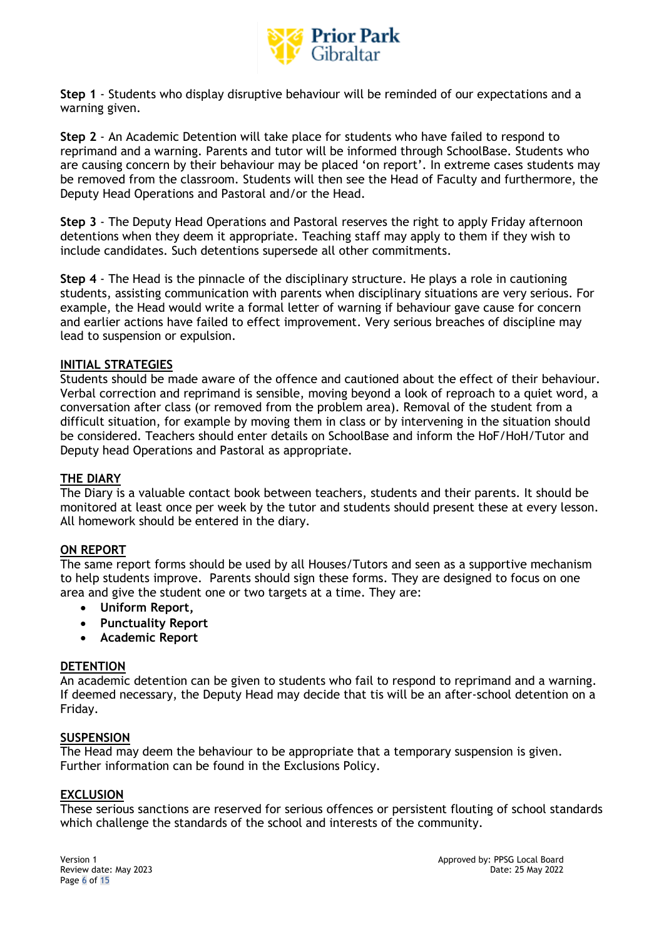

**Step 1** - Students who display disruptive behaviour will be reminded of our expectations and a warning given.

**Step 2** - An Academic Detention will take place for students who have failed to respond to reprimand and a warning. Parents and tutor will be informed through SchoolBase. Students who are causing concern by their behaviour may be placed 'on report'. In extreme cases students may be removed from the classroom. Students will then see the Head of Faculty and furthermore, the Deputy Head Operations and Pastoral and/or the Head.

**Step 3** - The Deputy Head Operations and Pastoral reserves the right to apply Friday afternoon detentions when they deem it appropriate. Teaching staff may apply to them if they wish to include candidates. Such detentions supersede all other commitments.

**Step 4** - The Head is the pinnacle of the disciplinary structure. He plays a role in cautioning students, assisting communication with parents when disciplinary situations are very serious. For example, the Head would write a formal letter of warning if behaviour gave cause for concern and earlier actions have failed to effect improvement. Very serious breaches of discipline may lead to suspension or expulsion.

# **INITIAL STRATEGIES**

Students should be made aware of the offence and cautioned about the effect of their behaviour. Verbal correction and reprimand is sensible, moving beyond a look of reproach to a quiet word, a conversation after class (or removed from the problem area). Removal of the student from a difficult situation, for example by moving them in class or by intervening in the situation should be considered. Teachers should enter details on SchoolBase and inform the HoF/HoH/Tutor and Deputy head Operations and Pastoral as appropriate.

#### **THE DIARY**

The Diary is a valuable contact book between teachers, students and their parents. It should be monitored at least once per week by the tutor and students should present these at every lesson. All homework should be entered in the diary.

#### **ON REPORT**

The same report forms should be used by all Houses/Tutors and seen as a supportive mechanism to help students improve. Parents should sign these forms. They are designed to focus on one area and give the student one or two targets at a time. They are:

- **Uniform Report,**
- **Punctuality Report**
- **Academic Report**

#### **DETENTION**

An academic detention can be given to students who fail to respond to reprimand and a warning. If deemed necessary, the Deputy Head may decide that tis will be an after-school detention on a Friday.

## **SUSPENSION**

The Head may deem the behaviour to be appropriate that a temporary suspension is given. Further information can be found in the Exclusions Policy.

#### **EXCLUSION**

These serious sanctions are reserved for serious offences or persistent flouting of school standards which challenge the standards of the school and interests of the community.

Page 6 of 15

Version 1 **Approved by: PPSG Local Board Contract and Approved by: PPSG Local Board** Review date: May 2023 Date: 25 May 2022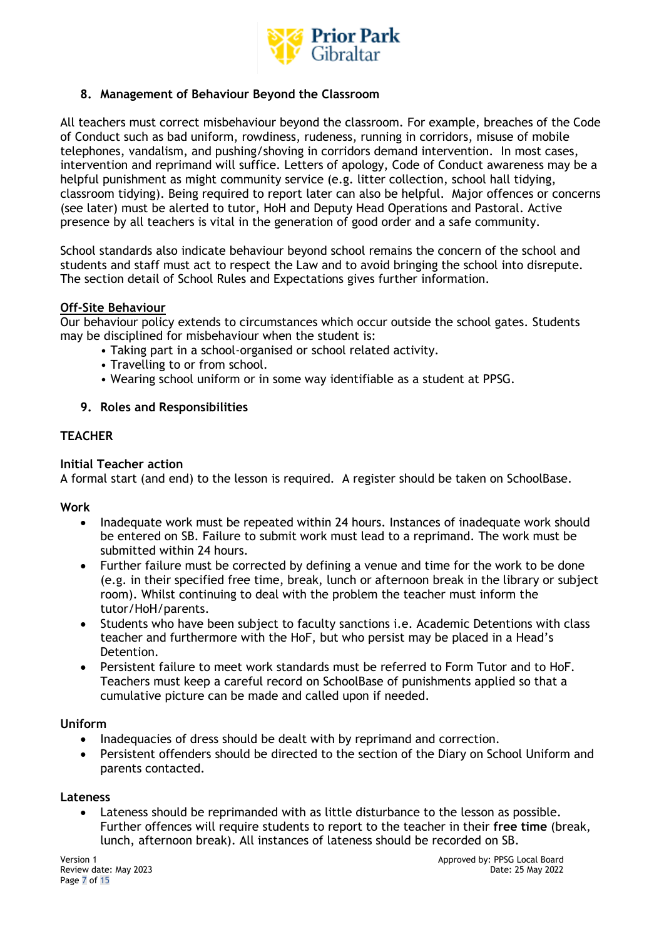

# **8. Management of Behaviour Beyond the Classroom**

All teachers must correct misbehaviour beyond the classroom. For example, breaches of the Code of Conduct such as bad uniform, rowdiness, rudeness, running in corridors, misuse of mobile telephones, vandalism, and pushing/shoving in corridors demand intervention. In most cases, intervention and reprimand will suffice. Letters of apology, Code of Conduct awareness may be a helpful punishment as might community service (e.g. litter collection, school hall tidying, classroom tidying). Being required to report later can also be helpful. Major offences or concerns (see later) must be alerted to tutor, HoH and Deputy Head Operations and Pastoral. Active presence by all teachers is vital in the generation of good order and a safe community.

School standards also indicate behaviour beyond school remains the concern of the school and students and staff must act to respect the Law and to avoid bringing the school into disrepute. The section detail of School Rules and Expectations gives further information.

# **Off-Site Behaviour**

Our behaviour policy extends to circumstances which occur outside the school gates. Students may be disciplined for misbehaviour when the student is:

- Taking part in a school-organised or school related activity.
- Travelling to or from school.
- Wearing school uniform or in some way identifiable as a student at PPSG.

## **9. Roles and Responsibilities**

# **TEACHER**

## **Initial Teacher action**

A formal start (and end) to the lesson is required. A register should be taken on SchoolBase.

#### **Work**

- Inadequate work must be repeated within 24 hours. Instances of inadequate work should be entered on SB. Failure to submit work must lead to a reprimand. The work must be submitted within 24 hours.
- Further failure must be corrected by defining a venue and time for the work to be done (e.g. in their specified free time, break, lunch or afternoon break in the library or subject room). Whilst continuing to deal with the problem the teacher must inform the tutor/HoH/parents.
- Students who have been subject to faculty sanctions i.e. Academic Detentions with class teacher and furthermore with the HoF, but who persist may be placed in a Head's Detention.
- Persistent failure to meet work standards must be referred to Form Tutor and to HoF. Teachers must keep a careful record on SchoolBase of punishments applied so that a cumulative picture can be made and called upon if needed.

#### **Uniform**

- Inadequacies of dress should be dealt with by reprimand and correction.
- Persistent offenders should be directed to the section of the Diary on School Uniform and parents contacted.

#### **Lateness**

• Lateness should be reprimanded with as little disturbance to the lesson as possible. Further offences will require students to report to the teacher in their **free time** (break, lunch, afternoon break). All instances of lateness should be recorded on SB.

Page 7 of 15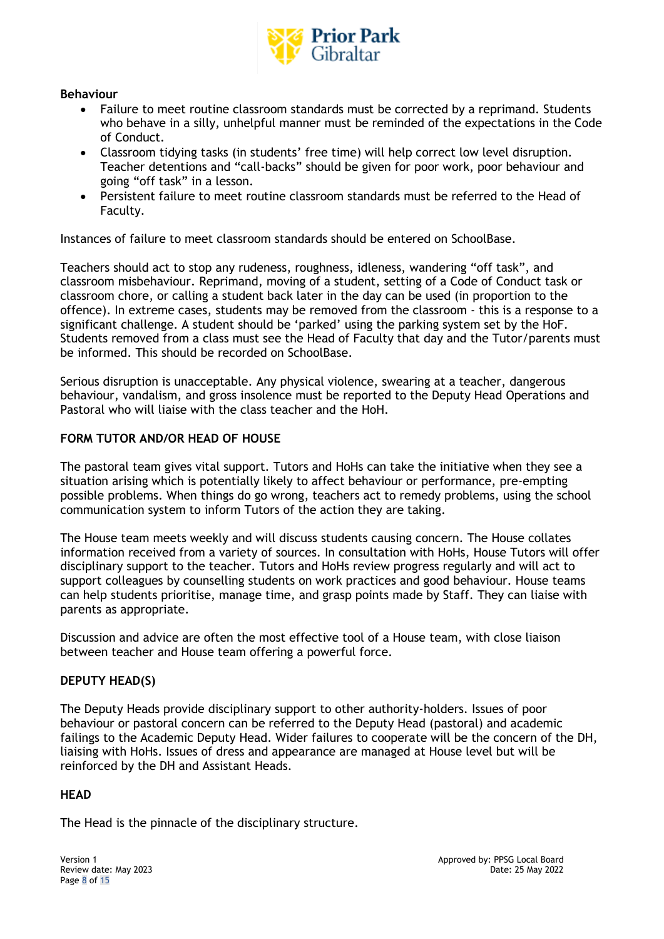

# **Behaviour**

- Failure to meet routine classroom standards must be corrected by a reprimand. Students who behave in a silly, unhelpful manner must be reminded of the expectations in the Code of Conduct.
- Classroom tidying tasks (in students' free time) will help correct low level disruption. Teacher detentions and "call-backs" should be given for poor work, poor behaviour and going "off task" in a lesson.
- Persistent failure to meet routine classroom standards must be referred to the Head of Faculty.

Instances of failure to meet classroom standards should be entered on SchoolBase.

Teachers should act to stop any rudeness, roughness, idleness, wandering "off task", and classroom misbehaviour. Reprimand, moving of a student, setting of a Code of Conduct task or classroom chore, or calling a student back later in the day can be used (in proportion to the offence). In extreme cases, students may be removed from the classroom - this is a response to a significant challenge. A student should be 'parked' using the parking system set by the HoF. Students removed from a class must see the Head of Faculty that day and the Tutor/parents must be informed. This should be recorded on SchoolBase.

Serious disruption is unacceptable. Any physical violence, swearing at a teacher, dangerous behaviour, vandalism, and gross insolence must be reported to the Deputy Head Operations and Pastoral who will liaise with the class teacher and the HoH.

# **FORM TUTOR AND/OR HEAD OF HOUSE**

The pastoral team gives vital support. Tutors and HoHs can take the initiative when they see a situation arising which is potentially likely to affect behaviour or performance, pre-empting possible problems. When things do go wrong, teachers act to remedy problems, using the school communication system to inform Tutors of the action they are taking.

The House team meets weekly and will discuss students causing concern. The House collates information received from a variety of sources. In consultation with HoHs, House Tutors will offer disciplinary support to the teacher. Tutors and HoHs review progress regularly and will act to support colleagues by counselling students on work practices and good behaviour. House teams can help students prioritise, manage time, and grasp points made by Staff. They can liaise with parents as appropriate.

Discussion and advice are often the most effective tool of a House team, with close liaison between teacher and House team offering a powerful force.

# **DEPUTY HEAD(S)**

The Deputy Heads provide disciplinary support to other authority-holders. Issues of poor behaviour or pastoral concern can be referred to the Deputy Head (pastoral) and academic failings to the Academic Deputy Head. Wider failures to cooperate will be the concern of the DH, liaising with HoHs. Issues of dress and appearance are managed at House level but will be reinforced by the DH and Assistant Heads.

#### **HEAD**

The Head is the pinnacle of the disciplinary structure.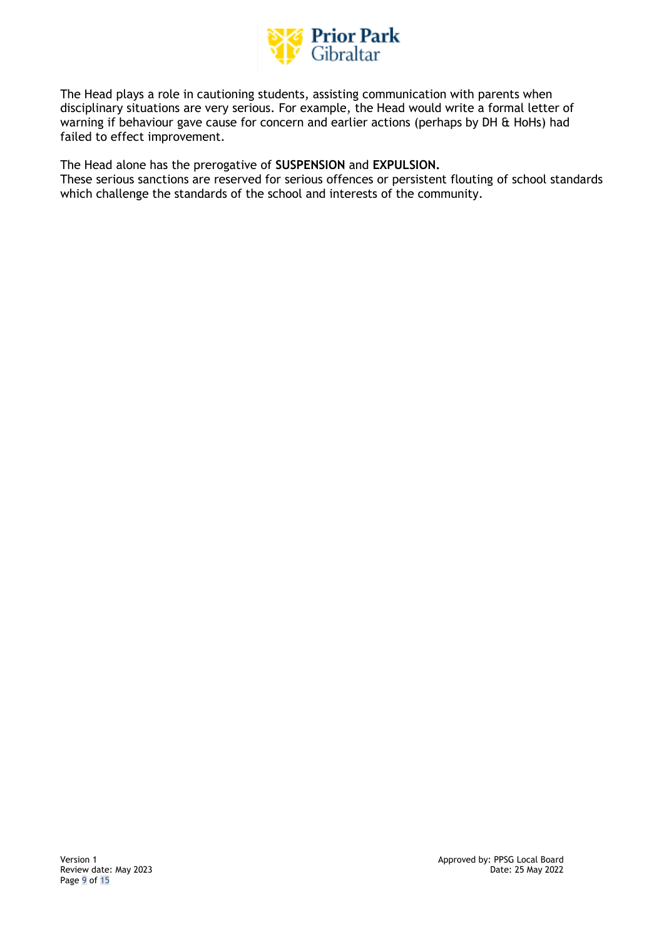

The Head plays a role in cautioning students, assisting communication with parents when disciplinary situations are very serious. For example, the Head would write a formal letter of warning if behaviour gave cause for concern and earlier actions (perhaps by DH & HoHs) had failed to effect improvement.

The Head alone has the prerogative of **SUSPENSION** and **EXPULSION.** 

These serious sanctions are reserved for serious offences or persistent flouting of school standards which challenge the standards of the school and interests of the community.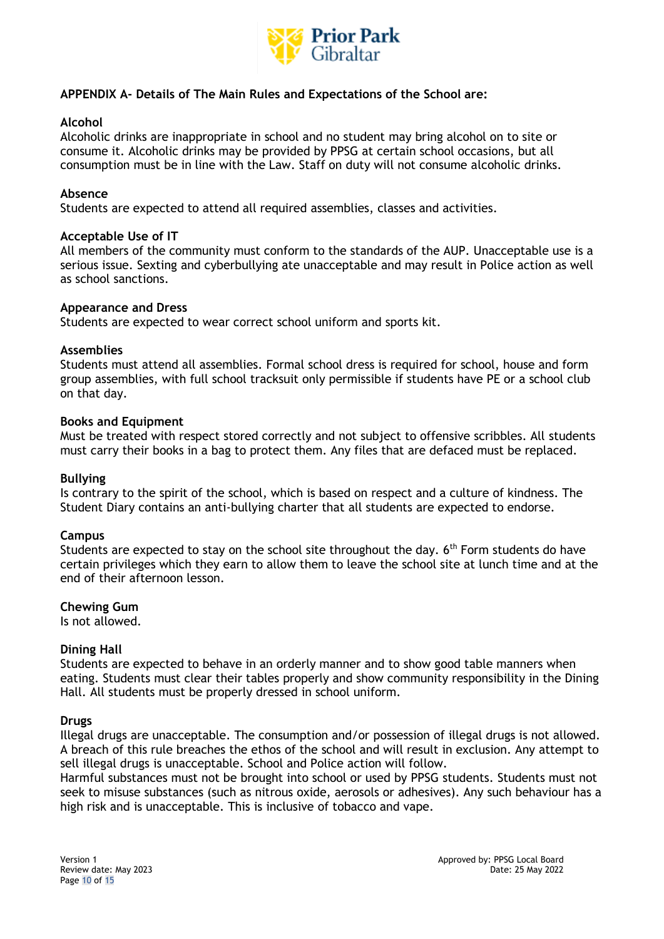

# **APPENDIX A- Details of The Main Rules and Expectations of the School are:**

## **Alcohol**

Alcoholic drinks are inappropriate in school and no student may bring alcohol on to site or consume it. Alcoholic drinks may be provided by PPSG at certain school occasions, but all consumption must be in line with the Law. Staff on duty will not consume alcoholic drinks.

## **Absence**

Students are expected to attend all required assemblies, classes and activities.

#### **Acceptable Use of IT**

All members of the community must conform to the standards of the AUP. Unacceptable use is a serious issue. Sexting and cyberbullying ate unacceptable and may result in Police action as well as school sanctions.

## **Appearance and Dress**

Students are expected to wear correct school uniform and sports kit.

## **Assemblies**

Students must attend all assemblies. Formal school dress is required for school, house and form group assemblies, with full school tracksuit only permissible if students have PE or a school club on that day.

## **Books and Equipment**

Must be treated with respect stored correctly and not subject to offensive scribbles. All students must carry their books in a bag to protect them. Any files that are defaced must be replaced.

#### **Bullying**

Is contrary to the spirit of the school, which is based on respect and a culture of kindness. The Student Diary contains an anti-bullying charter that all students are expected to endorse.

#### **Campus**

Students are expected to stay on the school site throughout the day. 6<sup>th</sup> Form students do have certain privileges which they earn to allow them to leave the school site at lunch time and at the end of their afternoon lesson.

#### **Chewing Gum**

Is not allowed.

# **Dining Hall**

Students are expected to behave in an orderly manner and to show good table manners when eating. Students must clear their tables properly and show community responsibility in the Dining Hall. All students must be properly dressed in school uniform.

#### **Drugs**

Illegal drugs are unacceptable. The consumption and/or possession of illegal drugs is not allowed. A breach of this rule breaches the ethos of the school and will result in exclusion. Any attempt to sell illegal drugs is unacceptable. School and Police action will follow.

Harmful substances must not be brought into school or used by PPSG students. Students must not seek to misuse substances (such as nitrous oxide, aerosols or adhesives). Any such behaviour has a high risk and is unacceptable. This is inclusive of tobacco and vape.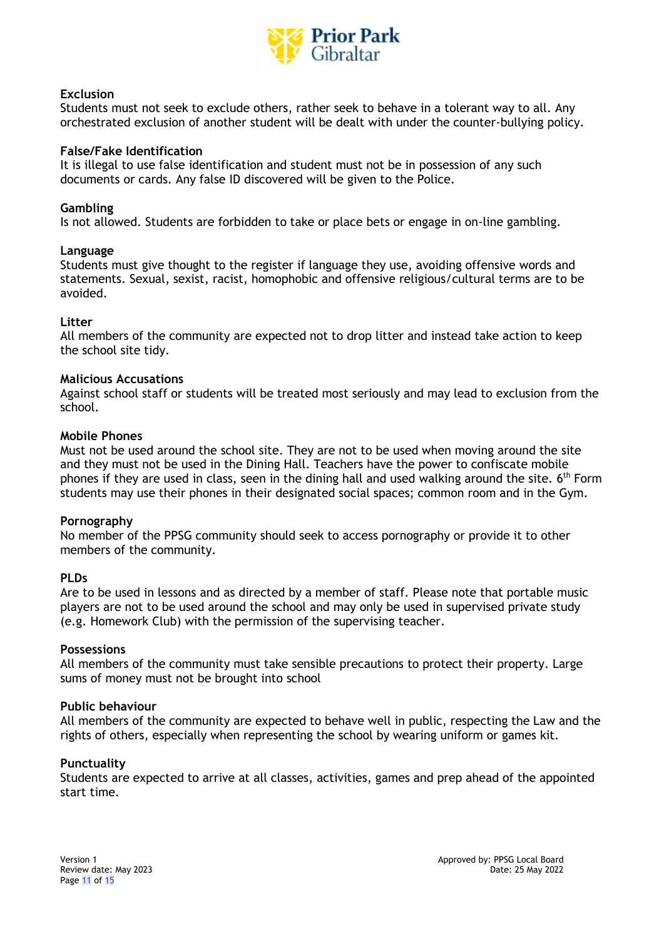

## **Exclusion**

Students must not seek to exclude others, rather seek to behave in a tolerant way to all. Any orchestrated exclusion of another student will be dealt with under the counter-bullying policy.

#### **False/Fake Identification**

It is illegal to use false identification and student must not be in possession of any such documents or cards. Any false ID discovered will be given to the Police.

#### **Gambling**

Is not allowed. Students are forbidden to take or place bets or engage in on-line gambling.

#### **Language**

Students must give thought to the register if language they use, avoiding offensive words and statements. Sexual, sexist, racist, homophobic and offensive religious/cultural terms are to be avoided.

#### **Litter**

All members of the community are expected not to drop litter and instead take action to keep the school site tidy.

## **Malicious Accusations**

Against school staff or students will be treated most seriously and may lead to exclusion from the school.

## **Mobile Phones**

Must not be used around the school site. They are not to be used when moving around the site and they must not be used in the Dining Hall. Teachers have the power to confiscate mobile phones if they are used in class, seen in the dining hall and used walking around the site. 6<sup>th</sup> Form students may use their phones in their designated social spaces; common room and in the Gym.

#### **Pornography**

No member of the PPSG community should seek to access pornography or provide it to other members of the community.

#### **PLDs**

Are to be used in lessons and as directed by a member of staff. Please note that portable music players are not to be used around the school and may only be used in supervised private study (e.g. Homework Club) with the permission of the supervising teacher.

#### **Possessions**

All members of the community must take sensible precautions to protect their property. Large sums of money must not be brought into school

#### **Public behaviour**

All members of the community are expected to behave well in public, respecting the Law and the rights of others, especially when representing the school by wearing uniform or games kit.

# **Punctuality**

Students are expected to arrive at all classes, activities, games and prep ahead of the appointed start time.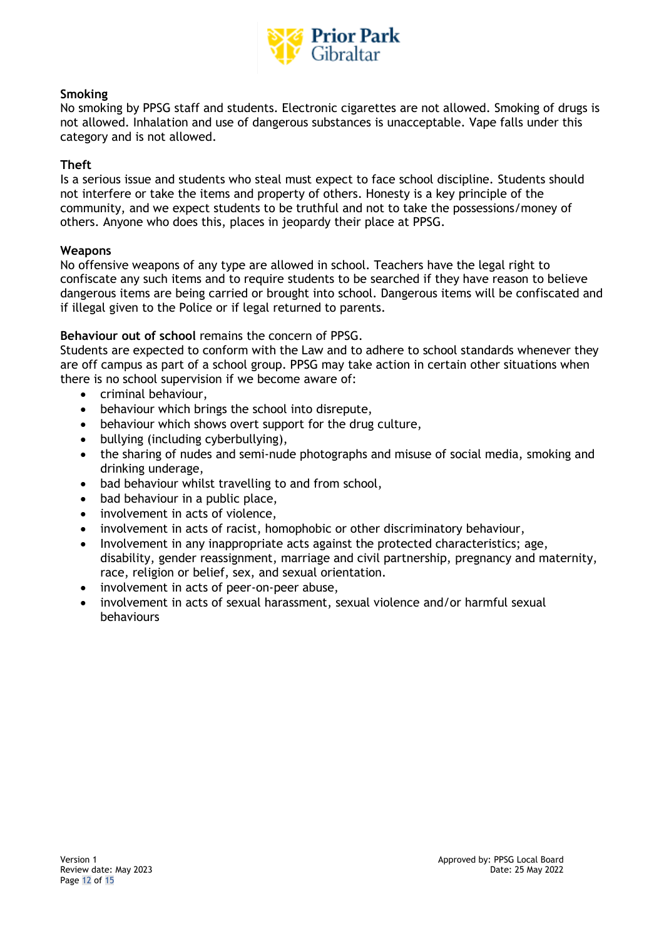

## **Smoking**

No smoking by PPSG staff and students. Electronic cigarettes are not allowed. Smoking of drugs is not allowed. Inhalation and use of dangerous substances is unacceptable. Vape falls under this category and is not allowed.

## **Theft**

Is a serious issue and students who steal must expect to face school discipline. Students should not interfere or take the items and property of others. Honesty is a key principle of the community, and we expect students to be truthful and not to take the possessions/money of others. Anyone who does this, places in jeopardy their place at PPSG.

## **Weapons**

No offensive weapons of any type are allowed in school. Teachers have the legal right to confiscate any such items and to require students to be searched if they have reason to believe dangerous items are being carried or brought into school. Dangerous items will be confiscated and if illegal given to the Police or if legal returned to parents.

# **Behaviour out of school** remains the concern of PPSG.

Students are expected to conform with the Law and to adhere to school standards whenever they are off campus as part of a school group. PPSG may take action in certain other situations when there is no school supervision if we become aware of:

- criminal behaviour,
- behaviour which brings the school into disrepute,
- behaviour which shows overt support for the drug culture,
- bullying (including cyberbullying),
- the sharing of nudes and semi-nude photographs and misuse of social media, smoking and drinking underage,
- bad behaviour whilst travelling to and from school,
- bad behaviour in a public place,
- involvement in acts of violence,
- involvement in acts of racist, homophobic or other discriminatory behaviour,
- Involvement in any inappropriate acts against the protected characteristics; age, disability, gender reassignment, marriage and civil partnership, pregnancy and maternity, race, religion or belief, sex, and sexual orientation.
- involvement in acts of peer-on-peer abuse,
- involvement in acts of sexual harassment, sexual violence and/or harmful sexual behaviours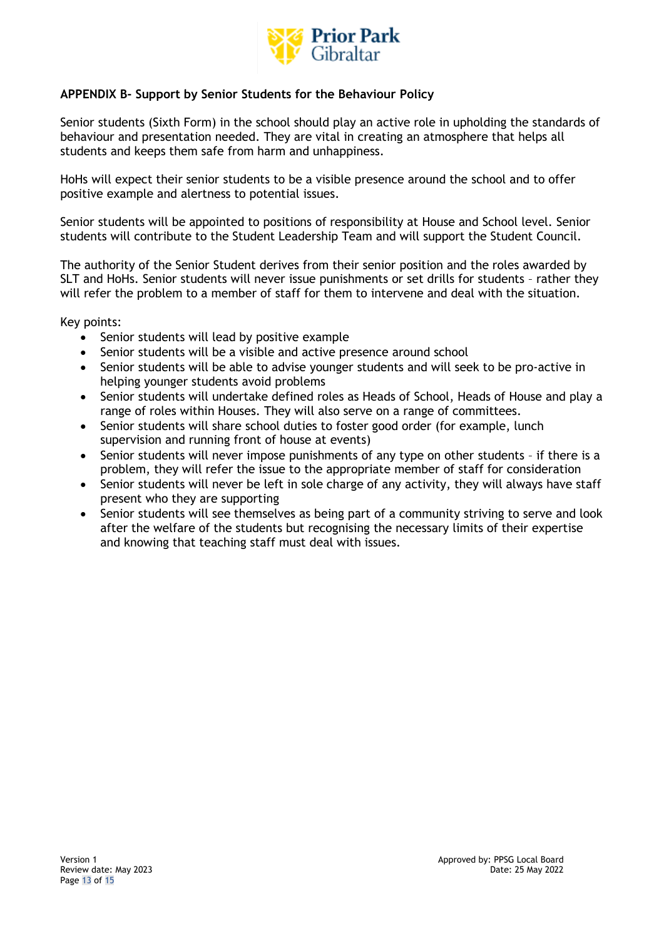

# **APPENDIX B- Support by Senior Students for the Behaviour Policy**

Senior students (Sixth Form) in the school should play an active role in upholding the standards of behaviour and presentation needed. They are vital in creating an atmosphere that helps all students and keeps them safe from harm and unhappiness.

HoHs will expect their senior students to be a visible presence around the school and to offer positive example and alertness to potential issues.

Senior students will be appointed to positions of responsibility at House and School level. Senior students will contribute to the Student Leadership Team and will support the Student Council.

The authority of the Senior Student derives from their senior position and the roles awarded by SLT and HoHs. Senior students will never issue punishments or set drills for students – rather they will refer the problem to a member of staff for them to intervene and deal with the situation.

Key points:

- Senior students will lead by positive example
- Senior students will be a visible and active presence around school
- Senior students will be able to advise younger students and will seek to be pro-active in helping younger students avoid problems
- Senior students will undertake defined roles as Heads of School, Heads of House and play a range of roles within Houses. They will also serve on a range of committees.
- Senior students will share school duties to foster good order (for example, lunch supervision and running front of house at events)
- Senior students will never impose punishments of any type on other students if there is a problem, they will refer the issue to the appropriate member of staff for consideration
- Senior students will never be left in sole charge of any activity, they will always have staff present who they are supporting
- Senior students will see themselves as being part of a community striving to serve and look after the welfare of the students but recognising the necessary limits of their expertise and knowing that teaching staff must deal with issues.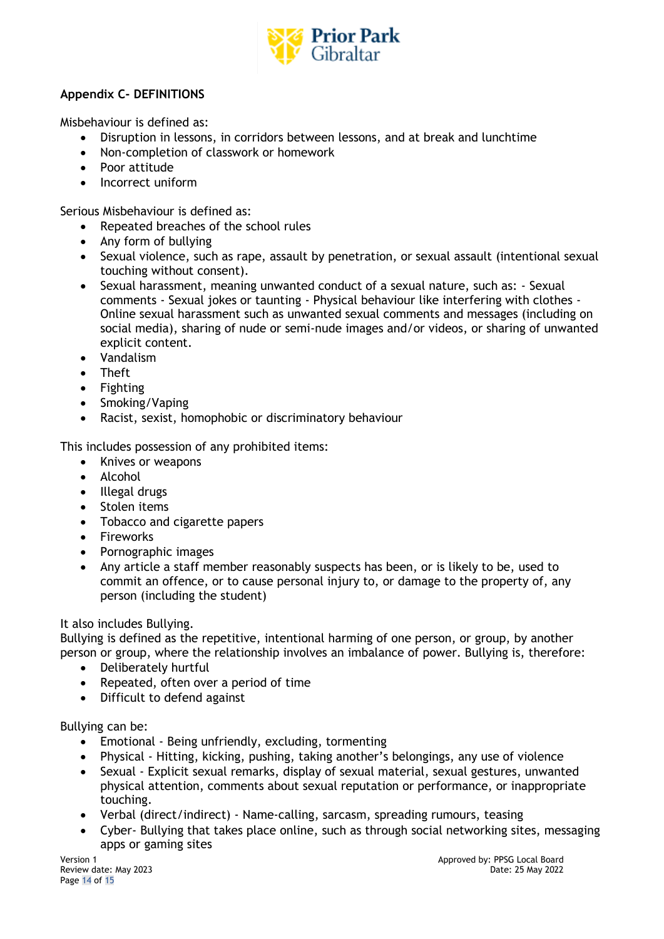

# **Appendix C- DEFINITIONS**

Misbehaviour is defined as:

- Disruption in lessons, in corridors between lessons, and at break and lunchtime
- Non-completion of classwork or homework
- Poor attitude
- Incorrect uniform

Serious Misbehaviour is defined as:

- Repeated breaches of the school rules
- Any form of bullying
- Sexual violence, such as rape, assault by penetration, or sexual assault (intentional sexual touching without consent).
- Sexual harassment, meaning unwanted conduct of a sexual nature, such as: Sexual comments - Sexual jokes or taunting - Physical behaviour like interfering with clothes - Online sexual harassment such as unwanted sexual comments and messages (including on social media), sharing of nude or semi-nude images and/or videos, or sharing of unwanted explicit content.
- Vandalism
- Theft
- Fighting
- Smoking/Vaping
- Racist, sexist, homophobic or discriminatory behaviour

This includes possession of any prohibited items:

- Knives or weapons
- Alcohol
- Illegal drugs
- Stolen items
- Tobacco and cigarette papers
- Fireworks
- Pornographic images
- Any article a staff member reasonably suspects has been, or is likely to be, used to commit an offence, or to cause personal injury to, or damage to the property of, any person (including the student)

# It also includes Bullying.

Bullying is defined as the repetitive, intentional harming of one person, or group, by another person or group, where the relationship involves an imbalance of power. Bullying is, therefore:

- Deliberately hurtful
- Repeated, often over a period of time
- Difficult to defend against

# Bullying can be:

- Emotional Being unfriendly, excluding, tormenting
- Physical Hitting, kicking, pushing, taking another's belongings, any use of violence
- Sexual Explicit sexual remarks, display of sexual material, sexual gestures, unwanted physical attention, comments about sexual reputation or performance, or inappropriate touching.
- Verbal (direct/indirect) Name-calling, sarcasm, spreading rumours, teasing
- Cyber- Bullying that takes place online, such as through social networking sites, messaging apps or gaming sites